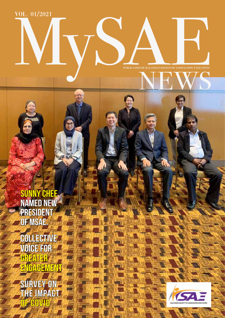Vol. 01/2021

**Publication of Malaysian Society Of Association Executives** NEWS Mysae

3

lin

SUNNY CHEE named new president of MSAE.

Collective Voice For Greater Engagement

Survey On The Impact OF COVID

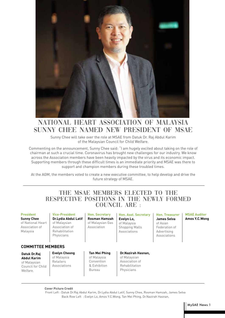

## national heart association of malaysia sunny chee named new president of msae

Sunny Chee will take over the role at MSAE from Datuk Dr. Raj Abdul Karim of the Malaysian Council for Child Welfare.

Commenting on the announcement, Sunny Chee said: "I am hugely excited about taking on the role of chairman at such a crucial time. Coronavirus has brought new challenges for our industry. We know across the Association members have been heavily impacted by the virus and its economic impact. Supporting members through these difficult times is an immediate priority and MSAE was there to support and champion members during these troubled times.

At the AGM, the members voted to create a new executive committee, to help develop and drive the future strategy of MSAE.

## The MSAE members elected to the respective positions in the newly formed COUNCIL ARE :

| <b>President</b><br><b>Sunny Chee</b><br>of National Heart<br>Association of<br>Malaysia | <b>Vice-President</b><br>Dr. Lydia Abdul Latif<br>of Malaysian<br>Association of<br>Rehabilitation<br>Physicians | <b>Hon. Secretary</b><br>Rosman Hamzah<br>of Malaysian Gas<br>Association | <b>Hon. Asst. Secretary</b><br>Evelyn Lo,<br>of Malaysia<br><b>Shopping Malls</b><br>Associations | <b>Hon. Treasurer</b><br><b>James Selva</b><br>of Asian<br>Federation of<br>Advertising<br>Associations | <b>MSAE Auditor</b><br>Amos Y.C.Wong |
|------------------------------------------------------------------------------------------|------------------------------------------------------------------------------------------------------------------|---------------------------------------------------------------------------|---------------------------------------------------------------------------------------------------|---------------------------------------------------------------------------------------------------------|--------------------------------------|
| <b>COMMITTEE MEMBERS</b>                                                                 |                                                                                                                  |                                                                           |                                                                                                   |                                                                                                         |                                      |
| Datuk Dr.Raj<br><b>Abdul Karim</b><br>of Malaysian<br>Council for Child<br>Welfare.      | <b>Evelyn Cheong</b><br>of Malaysia<br><b>Retailers</b><br>Associations                                          | Tan Mei Phing<br>of Malaysia<br>Convention<br>& Exhibition<br>Bureau      | Dr.Nazirah Hasnan,<br>of Malaysian<br>Association of<br>Rehabilitation<br>Physicians              |                                                                                                         |                                      |

**Cover Picture Credit** 

Front Left : Datuk Dr.Raj Abdul Karim, Dr.Lydia Abdul Latif, Sunny Chee, Rosman Hamzah, James Selva Back Row Left : Evelyn Lo, Amos Y.C.Wong, Tan Mei Phing, Dr.Nazirah Hasnan,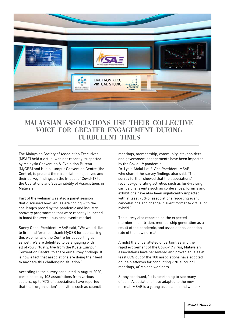

## Malaysian Associations use their Collective Voice for Greater Engagement during TURBULENT TIMES

The Malaysian Society of Association Executives (MSAE) held a virtual webinar recently, supported by Malaysia Convention & Exhibition Bureau (MyCEB) and Kuala Lumpur Convention Centre (the Centre), to present their association objectives and their survey findings on the Impact of Covid-19 to the Operations and Sustainability of Associations in Malaysia.

Part of the webinar was also a panel session that discussed how venues are coping with the challenges posed by the pandemic and industry recovery programmes that were recently launched to boost the overall business events market.

Sunny Chee, President, MSAE said, "We would like to first and foremost thank MyCEB for sponsoring this webinar and the Centre for supporting us as well. We are delighted to be engaging with all of you virtually, live from the Kuala Lumpur Convention Centre, to share our survey findings. It is now a fact that associations are doing their best to navigate this challenging situation."

According to the survey conducted in August 2020, participated by 108 associations from various sectors, up to 70% of associations have reported that their organisation's activities such as council

meetings, membership, community, stakeholders and government engagements have been impacted by the Covid-19 pandemic.

Dr. Lydia Abdul Latif, Vice President, MSAE, who shared the survey findings also said, "The survey further showed that the associations' revenue-generating activities such as fund-raising campaigns, events such as conferences, forums and exhibitions have also been significantly impacted with at least 70% of associations reporting event cancellations and change in event format to virtual or hybrid."

The survey also reported on the expected membership attrition, membership generation as a result of the pandemic, and associations' adoption rate of the new normal.

Amidst the unparalleled uncertainties and the rapid evolvement of the Covid-19 virus, Malaysian associations have persevered and proved agile as at least 80% out of the 108 associations have adopted online platforms for conducting virtual council meetings, AGMs and webinars.

Sunny continued, "It is heartening to see many of us in Associations have adapted to the new normal. MSAE is a young association and we look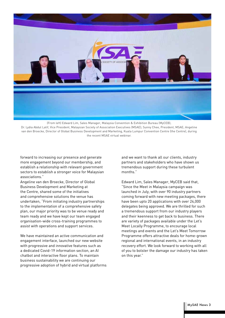

(From left) Edward Lim, Sales Manager, Malaysia Convention & Exhibition Bureau (MyCEB);

Dr. Lydia Abdul Latif, Vice President, Malaysian Society of Association Executives (MSAE); Sunny Chee, President, MSAE; Angeline van den Broecke, Director of Global Business Development and Marketing, Kuala Lumpur Convention Centre (the Centre), during the recent MSAE virtual webinar.

forward to increasing our presence and generate more engagement beyond our membership, and establish a relationship with relevant government sectors to establish a stronger voice for Malaysian associations."

Angeline van den Broecke, Director of Global Business Development and Marketing at the Centre, shared some of the initiatives and comprehensive solutions the venue has undertaken, "From initiating industry partnerships to the implementation of a comprehensive safety plan, our major priority was to be venue ready and team ready and we have kept our team engaged organisation-wide cross-training programmes to assist with operations and support services.

We have maintained an active communication and engagement interface, launched our new website with progressive and innovative features such as a dedicated Covid-19 information section, an AI chatbot and interactive floor plans. To maintain business sustainability we are continuing our progressive adoption of hybrid and virtual platforms and we want to thank all our clients, industry partners and stakeholders who have shown us tremendous support during these turbulent months."

Edward Lim, Sales Manager, MyCEB said that, "Since the Meet in Malaysia campaign was launched in July, with over 90 industry partners coming forward with new meeting packages, there have been upto 20 applications with over 24,000 delegates being approved. We are thrilled for such a tremendous support from our industry players and their keenness to get back to business. There are variety of packages available under the Let's Meet Locally Programme, to encourage local meetings and events and the Let's Meet Tomorrow Programme offers attractive deals for home-grown regional and international events, in an industry recovery effort. We look forward to working with all of you to bolster the damage our industry has taken on this year."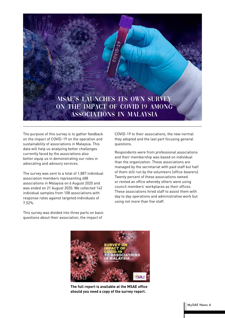

The purpose of this survey is to gather feedback on the impact of COVID-19 on the operation and sustainability of associations in Malaysia. This data will help us analyzing better challenges currently faced by the associations also better equip us in demonstrating our roles in advocating and advisory services.

The survey was sent to a total of 1,887 individual association members representing 488 associations in Malaysia on 6 August 2020 and was ended on 21 August 2020. We collected 142 individual samples from 108 associations with response rates against targeted individuals of 7.52%.

COVID-19 to their associations, the new normal they adopted and the last part focusing general questions.

Respondents were from professional associations and their membership was based on individual than the organization. These associations are managed by the secretariat with paid staff but half of them still run by the volunteers (office-bearers). Twenty percent of these associations owned or rented an office whereby others were using council members' workplaces as their offices. These associations hired staff to assist them with day to day operations and administrative work but using not more than five staff.

This survey was divided into three parts on basic questions about their association, the impact of



**The full report is available at the MSAE office should you need a copy of the survey report.**